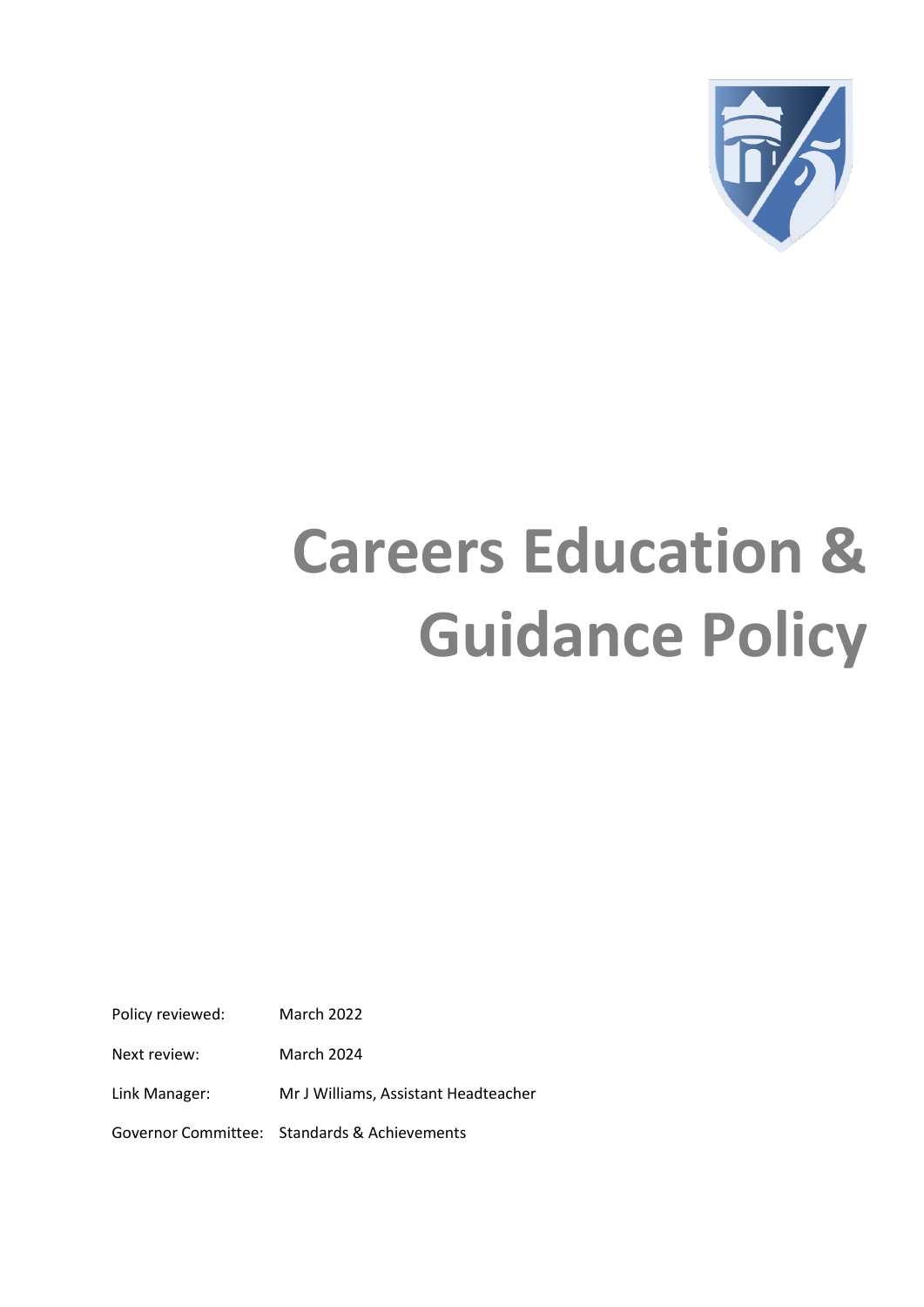

# **Careers Education & Guidance Policy**

Policy reviewed: March 2022

Next review: March 2024

Link Manager: Mr J Williams, Assistant Headteacher

Governor Committee: Standards & Achievements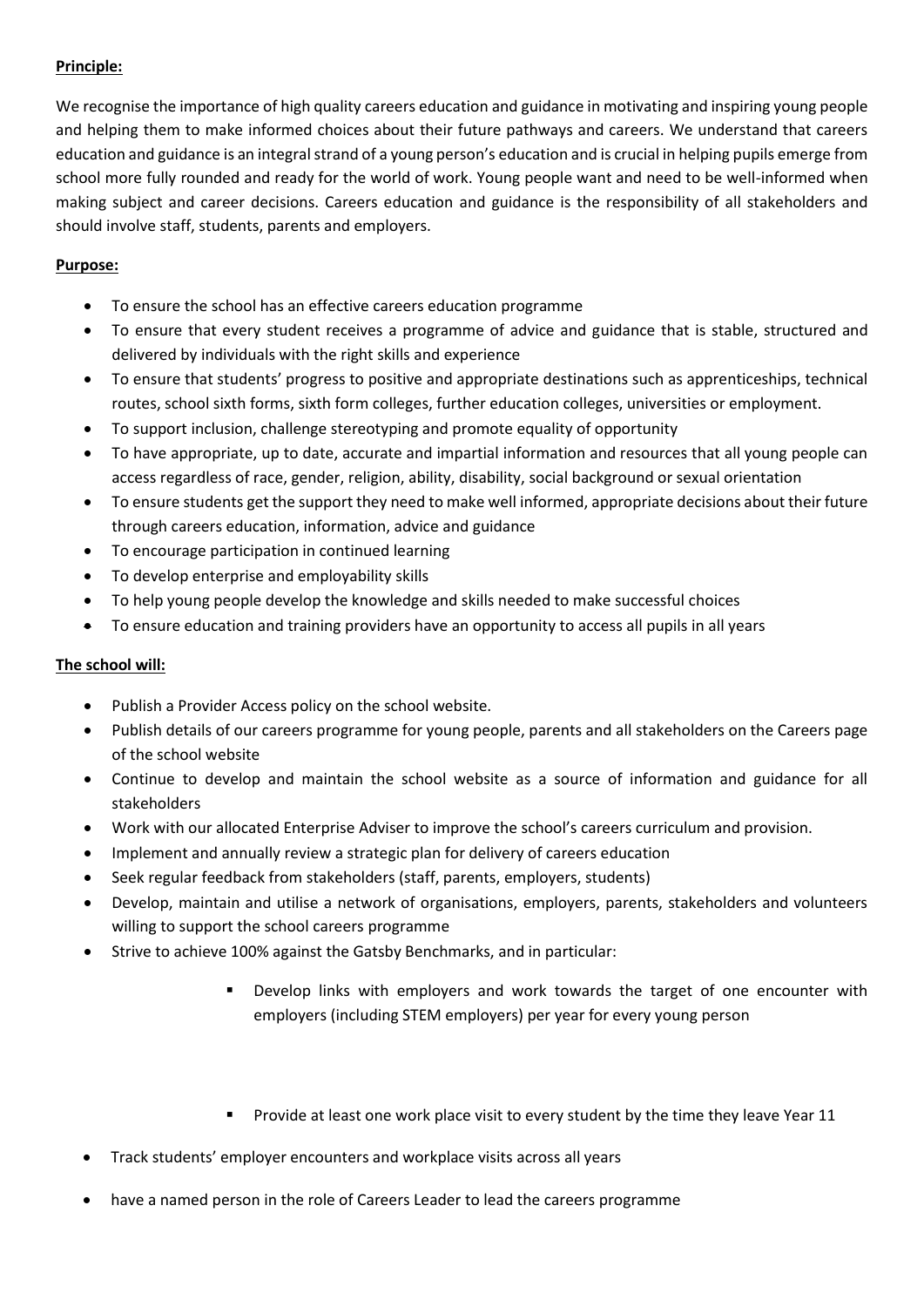## **Principle:**

We recognise the importance of high quality careers education and guidance in motivating and inspiring young people and helping them to make informed choices about their future pathways and careers. We understand that careers education and guidance is an integral strand of a young person's education and is crucial in helping pupils emerge from school more fully rounded and ready for the world of work. Young people want and need to be well-informed when making subject and career decisions. Careers education and guidance is the responsibility of all stakeholders and should involve staff, students, parents and employers.

### **Purpose:**

- To ensure the school has an effective careers education programme
- To ensure that every student receives a programme of advice and guidance that is stable, structured and delivered by individuals with the right skills and experience
- To ensure that students' progress to positive and appropriate destinations such as apprenticeships, technical routes, school sixth forms, sixth form colleges, further education colleges, universities or employment.
- To support inclusion, challenge stereotyping and promote equality of opportunity
- To have appropriate, up to date, accurate and impartial information and resources that all young people can access regardless of race, gender, religion, ability, disability, social background or sexual orientation
- To ensure students get the support they need to make well informed, appropriate decisions about their future through careers education, information, advice and guidance
- To encourage participation in continued learning
- To develop enterprise and employability skills
- To help young people develop the knowledge and skills needed to make successful choices
- To ensure education and training providers have an opportunity to access all pupils in all years

#### **The school will:**

- Publish a Provider Access policy on the school website.
- Publish details of our careers programme for young people, parents and all stakeholders on the Careers page of the school website
- Continue to develop and maintain the school website as a source of information and guidance for all stakeholders
- Work with our allocated Enterprise Adviser to improve the school's careers curriculum and provision.
- Implement and annually review a strategic plan for delivery of careers education
- Seek regular feedback from stakeholders (staff, parents, employers, students)
- Develop, maintain and utilise a network of organisations, employers, parents, stakeholders and volunteers willing to support the school careers programme
- Strive to achieve 100% against the Gatsby Benchmarks, and in particular:
	- Develop links with employers and work towards the target of one encounter with employers (including STEM employers) per year for every young person
	- **Provide at least one work place visit to every student by the time they leave Year 11**
- Track students' employer encounters and workplace visits across all years
- have a named person in the role of Careers Leader to lead the careers programme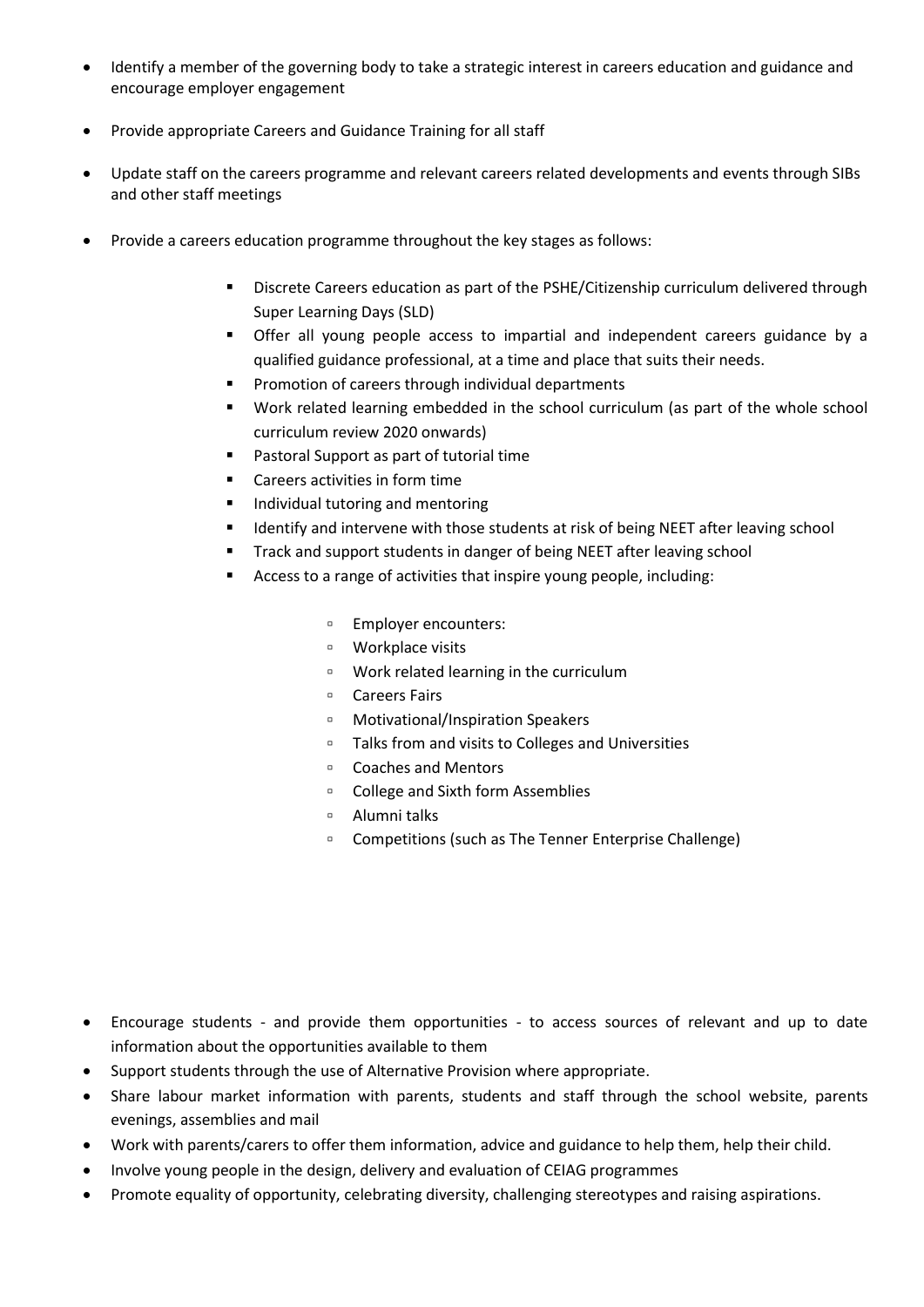- Identify a member of the governing body to take a strategic interest in careers education and guidance and encourage employer engagement
- Provide appropriate Careers and Guidance Training for all staff
- Update staff on the careers programme and relevant careers related developments and events through SIBs and other staff meetings
- Provide a careers education programme throughout the key stages as follows:
	- Discrete Careers education as part of the PSHE/Citizenship curriculum delivered through Super Learning Days (SLD)
	- Offer all young people access to impartial and independent careers guidance by a qualified guidance professional, at a time and place that suits their needs.
	- Promotion of careers through individual departments
	- Work related learning embedded in the school curriculum (as part of the whole school curriculum review 2020 onwards)
	- Pastoral Support as part of tutorial time
	- **EXEC** Careers activities in form time
	- **Individual tutoring and mentoring**
	- Identify and intervene with those students at risk of being NEET after leaving school
	- **Track and support students in danger of being NEET after leaving school**
	- Access to a range of activities that inspire young people, including:
		- Employer encounters:
		- Workplace visits
		- Work related learning in the curriculum
		- Careers Fairs
		- Motivational/Inspiration Speakers
		- Talks from and visits to Colleges and Universities
		- Coaches and Mentors
		- College and Sixth form Assemblies
		- Alumni talks
		- Competitions (such as The Tenner Enterprise Challenge)

- Encourage students and provide them opportunities to access sources of relevant and up to date information about the opportunities available to them
- Support students through the use of Alternative Provision where appropriate.
- Share labour market information with parents, students and staff through the school website, parents evenings, assemblies and mail
- Work with parents/carers to offer them information, advice and guidance to help them, help their child.
- Involve young people in the design, delivery and evaluation of CEIAG programmes
- Promote equality of opportunity, celebrating diversity, challenging stereotypes and raising aspirations.